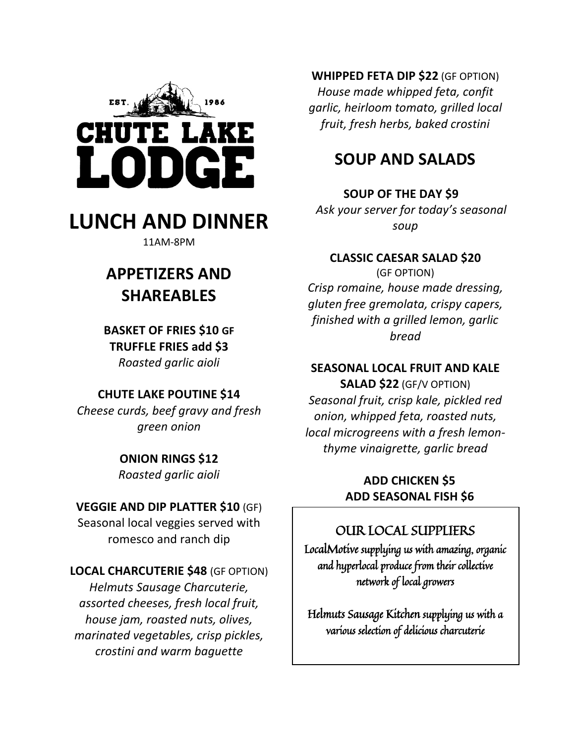

# **LUNCH AND DINNER**

11AM-8PM

# **APPETIZERS AND SHAREABLES**

**BASKET OF FRIES \$10 GF TRUFFLE FRIES add \$3** *Roasted garlic aioli* 

## **CHUTE LAKE POUTINE \$14**

*Cheese curds, beef gravy and fresh green onion* 

#### **ONION RINGS \$12** *Roasted garlic aioli*

## **VEGGIE AND DIP PLATTER \$10** (GF)

Seasonal local veggies served with romesco and ranch dip

#### **LOCAL CHARCUTERIE \$48** (GF OPTION)

*Helmuts Sausage Charcuterie, assorted cheeses, fresh local fruit, house jam, roasted nuts, olives, marinated vegetables, crisp pickles, crostini and warm baguette* 

**WHIPPED FETA DIP \$22** (GF OPTION) *House made whipped feta, confit garlic, heirloom tomato, grilled local fruit, fresh herbs, baked crostini* 

## **SOUP AND SALADS**

## **SOUP OF THE DAY \$9**

 *Ask your server for today's seasonal soup* 

#### **CLASSIC CAESAR SALAD \$20**

(GF OPTION) *Crisp romaine, house made dressing, gluten free gremolata, crispy capers, finished with a grilled lemon, garlic bread* 

## **SEASONAL LOCAL FRUIT AND KALE**

**SALAD \$22** (GF/V OPTION) *Seasonal fruit, crisp kale, pickled red onion, whipped feta, roasted nuts, local microgreens with a fresh lemonthyme vinaigrette, garlic bread* 

## **ADD CHICKEN \$5 ADD SEASONAL FISH \$6**

## OUR LOCAL SUPPLIERS

LocalMotive supplying us with amazing, organic and hyperlocal produce from their collective network of local growers

Helmuts Sausage Kitchen supplying us with a various selection of delicious charcuterie